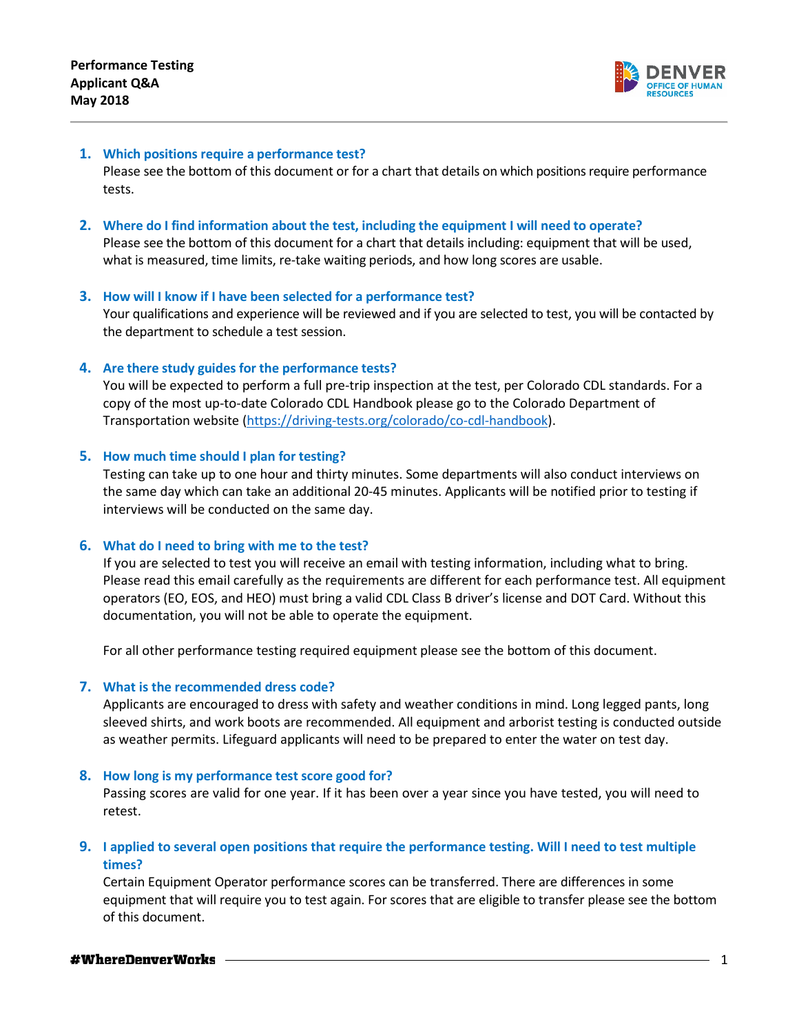

# **1. Which positions require a performance test?**

Please see the bottom of this document or for a chart that details on which positions require performance tests.

# **2. Where do I find information about the test, including the equipment I will need to operate?**

Please see the bottom of this document for a chart that details including: equipment that will be used, what is measured, time limits, re-take waiting periods, and how long scores are usable.

## **3. How will I know if I have been selected for a performance test?**

Your qualifications and experience will be reviewed and if you are selected to test, you will be contacted by the department to schedule a test session.

#### **4. Are there study guides for the performance tests?**

You will be expected to perform a full pre-trip inspection at the test, per Colorado CDL standards. For a copy of the most up-to-date Colorado CDL Handbook please go to the Colorado Department of Transportation website [\(https://driving-tests.org/colorado/co-cdl-handbook\)](https://driving-tests.org/colorado/co-cdl-handbook).

#### **5. How much time should I plan for testing?**

Testing can take up to one hour and thirty minutes. Some departments will also conduct interviews on the same day which can take an additional 20-45 minutes. Applicants will be notified prior to testing if interviews will be conducted on the same day.

## **6. What do I need to bring with me to the test?**

If you are selected to test you will receive an email with testing information, including what to bring. Please read this email carefully as the requirements are different for each performance test. All equipment operators (EO, EOS, and HEO) must bring a valid CDL Class B driver's license and DOT Card. Without this documentation, you will not be able to operate the equipment.

For all other performance testing required equipment please see the bottom of this document.

# **7. What is the recommended dress code?**

Applicants are encouraged to dress with safety and weather conditions in mind. Long legged pants, long sleeved shirts, and work boots are recommended. All equipment and arborist testing is conducted outside as weather permits. Lifeguard applicants will need to be prepared to enter the water on test day.

## **8. How long is my performance test score good for?**

Passing scores are valid for one year. If it has been over a year since you have tested, you will need to retest.

# **9. I applied to several open positions that require the performance testing. Will I need to test multiple times?**

Certain Equipment Operator performance scores can be transferred. There are differences in some equipment that will require you to test again. For scores that are eligible to transfer please see the bottom of this document.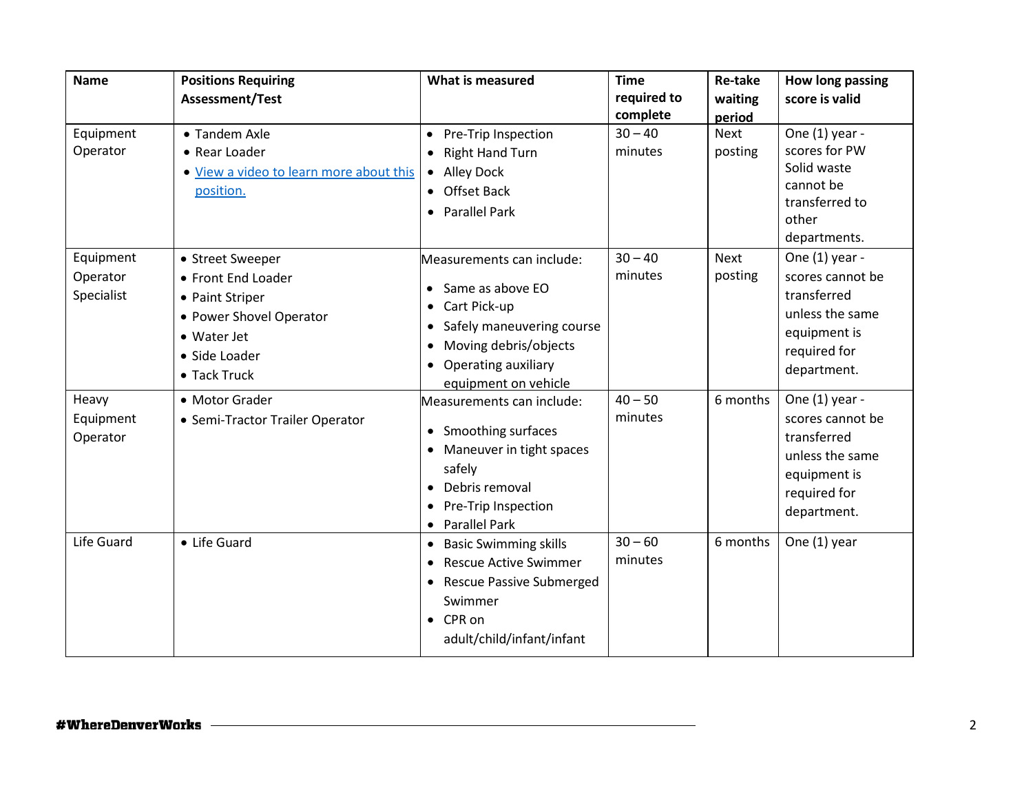| <b>Name</b>                         | <b>Positions Requiring</b>                                                                                                           | What is measured                                                                                                                                                     | <b>Time</b>             | <b>Re-take</b>    | How long passing                                                                                                    |
|-------------------------------------|--------------------------------------------------------------------------------------------------------------------------------------|----------------------------------------------------------------------------------------------------------------------------------------------------------------------|-------------------------|-------------------|---------------------------------------------------------------------------------------------------------------------|
|                                     | <b>Assessment/Test</b>                                                                                                               |                                                                                                                                                                      | required to<br>complete | waiting<br>period | score is valid                                                                                                      |
| Equipment<br>Operator               | • Tandem Axle<br>• Rear Loader<br>• View a video to learn more about this<br>position.                                               | Pre-Trip Inspection<br><b>Right Hand Turn</b><br>Alley Dock<br>$\bullet$<br>• Offset Back<br>Parallel Park<br>$\bullet$                                              | $30 - 40$<br>minutes    | Next<br>posting   | One (1) year -<br>scores for PW<br>Solid waste<br>cannot be<br>transferred to<br>other<br>departments.              |
| Equipment<br>Operator<br>Specialist | • Street Sweeper<br>• Front End Loader<br>• Paint Striper<br>• Power Shovel Operator<br>• Water Jet<br>• Side Loader<br>• Tack Truck | Measurements can include:<br>Same as above EO<br>• Cart Pick-up<br>Safely maneuvering course<br>Moving debris/objects<br>Operating auxiliary<br>equipment on vehicle | $30 - 40$<br>minutes    | Next<br>posting   | One (1) year -<br>scores cannot be<br>transferred<br>unless the same<br>equipment is<br>required for<br>department. |
| Heavy<br>Equipment<br>Operator      | • Motor Grader<br>• Semi-Tractor Trailer Operator                                                                                    | Measurements can include:<br>Smoothing surfaces<br>$\bullet$<br>Maneuver in tight spaces<br>safely<br>Debris removal<br>Pre-Trip Inspection<br>• Parallel Park       | $40 - 50$<br>minutes    | 6 months          | One (1) year -<br>scores cannot be<br>transferred<br>unless the same<br>equipment is<br>required for<br>department. |
| Life Guard                          | • Life Guard                                                                                                                         | • Basic Swimming skills<br><b>Rescue Active Swimmer</b><br><b>Rescue Passive Submerged</b><br>Swimmer<br>$\bullet$ CPR on<br>adult/child/infant/infant               | $30 - 60$<br>minutes    | 6 months          | One (1) year                                                                                                        |